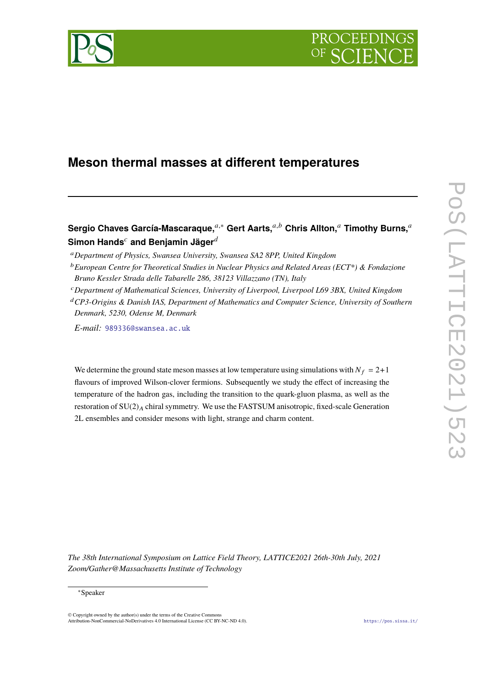



# **Meson thermal masses at different temperatures**

Sergio Chaves García-Mascaraque.<sup>*a*,∗</sup> Gert Aarts.<sup>*a,b*</sup> Chris Allton.<sup>*a*</sup> Timothy Burns.<sup>*a*</sup> **Simon Hands<sup>c</sup> and Benjamin Jäger**<sup> $d$ </sup>

- <sup>𝑐</sup>*Department of Mathematical Sciences, University of Liverpool, Liverpool L69 3BX, United Kingdom*
- <sup>d</sup> CP3-Origins & Danish IAS, Department of Mathematics and Computer Science, University of Southern *Denmark, 5230, Odense M, Denmark*

*E-mail:* [989336@swansea.ac.uk](mailto:989336@swansea.ac.uk)

We determine the ground state meson masses at low temperature using simulations with  $N_f = 2+1$ flavours of improved Wilson-clover fermions. Subsequently we study the effect of increasing the temperature of the hadron gas, including the transition to the quark-gluon plasma, as well as the restoration of  $SU(2)_A$  chiral symmetry. We use the FASTSUM anisotropic, fixed-scale Generation 2L ensembles and consider mesons with light, strange and charm content.

*The 38th International Symposium on Lattice Field Theory, LATTICE2021 26th-30th July, 2021 Zoom/Gather@Massachusetts Institute of Technology*

<sup>𝑎</sup>*Department of Physics, Swansea University, Swansea SA2 8PP, United Kingdom*

<sup>&</sup>lt;sup>*b*</sup> European Centre for Theoretical Studies in Nuclear Physics and Related Areas (ECT\*) & Fondazione *Bruno Kessler Strada delle Tabarelle 286, 38123 Villazzano (TN), Italy*

<sup>∗</sup>Speaker

 $\odot$  Copyright owned by the author(s) under the terms of the Creative Common Attribution-NonCommercial-NoDerivatives 4.0 International License (CC BY-NC-ND 4.0). <https://pos.sissa.it/>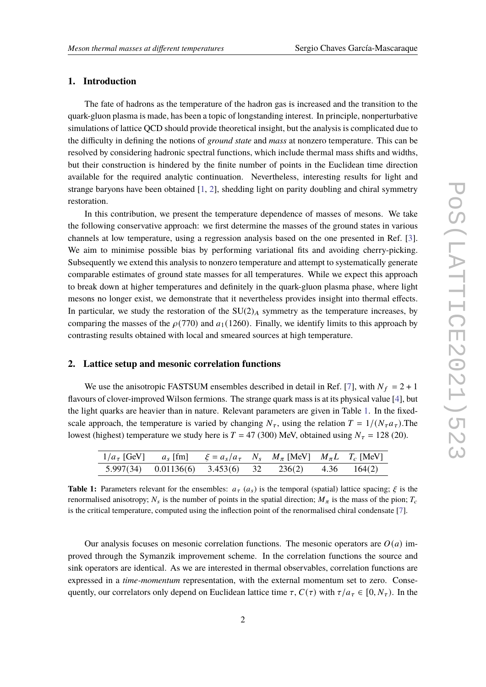## **1. Introduction**

The fate of hadrons as the temperature of the hadron gas is increased and the transition to the quark-gluon plasma is made, has been a topic of longstanding interest. In principle, nonperturbative simulations of lattice QCD should provide theoretical insight, but the analysis is complicated due to the difficulty in defining the notions of *ground state* and *mass* at nonzero temperature. This can be resolved by considering hadronic spectral functions, which include thermal mass shifts and widths, but their construction is hindered by the finite number of points in the Euclidean time direction available for the required analytic continuation. Nevertheless, interesting results for light and strange baryons have been obtained [\[1,](#page-8-0) [2\]](#page-8-1), shedding light on parity doubling and chiral symmetry restoration.

In this contribution, we present the temperature dependence of masses of mesons. We take the following conservative approach: we first determine the masses of the ground states in various channels at low temperature, using a regression analysis based on the one presented in Ref. [\[3\]](#page-8-2). We aim to minimise possible bias by performing variational fits and avoiding cherry-picking. Subsequently we extend this analysis to nonzero temperature and attempt to systematically generate comparable estimates of ground state masses for all temperatures. While we expect this approach to break down at higher temperatures and definitely in the quark-gluon plasma phase, where light mesons no longer exist, we demonstrate that it nevertheless provides insight into thermal effects. In particular, we study the restoration of the  $SU(2)_A$  symmetry as the temperature increases, by comparing the masses of the  $\rho(770)$  and  $a_1(1260)$ . Finally, we identify limits to this approach by contrasting results obtained with local and smeared sources at high temperature.

#### **2. Lattice setup and mesonic correlation functions**

We use the anisotropic FASTSUM ensembles described in detail in Ref. [\[7\]](#page-8-3), with  $N_f = 2 + 1$ flavours of clover-improved Wilson fermions. The strange quark mass is at its physical value [\[4\]](#page-8-4), but the light quarks are heavier than in nature. Relevant parameters are given in Table [1.](#page-1-0) In the fixedscale approach, the temperature is varied by changing  $N_{\tau}$ , using the relation  $T = 1/(N_{\tau} a_{\tau})$ . The lowest (highest) temperature we study here is  $T = 47$  (300) MeV, obtained using  $N<sub>\tau</sub> = 128$  (20).

<span id="page-1-0"></span>

| $1/a_{\tau}$ [GeV] $a_{s}$ [fm] $\xi = a_{s}/a_{\tau}$ $N_{s}$ $M_{\pi}$ [MeV] $M_{\pi}L$ $T_{c}$ [MeV] |                                                       |  |  |  |
|---------------------------------------------------------------------------------------------------------|-------------------------------------------------------|--|--|--|
|                                                                                                         | 5.997(34) $0.01136(6)$ 3.453(6) 32 236(2) 4.36 164(2) |  |  |  |

**Table 1:** Parameters relevant for the ensembles:  $a_{\tau}$  ( $a_{\tau}$ ) is the temporal (spatial) lattice spacing;  $\xi$  is the renormalised anisotropy;  $N_s$  is the number of points in the spatial direction;  $M_\pi$  is the mass of the pion;  $T_c$ is the critical temperature, computed using the inflection point of the renormalised chiral condensate [\[7\]](#page-8-3).

Our analysis focuses on mesonic correlation functions. The mesonic operators are  $O(a)$  improved through the Symanzik improvement scheme. In the correlation functions the source and sink operators are identical. As we are interested in thermal observables, correlation functions are expressed in a *time-momentum* representation, with the external momentum set to zero. Consequently, our correlators only depend on Euclidean lattice time  $\tau$ ,  $C(\tau)$  with  $\tau/a_{\tau} \in [0, N_{\tau})$ . In the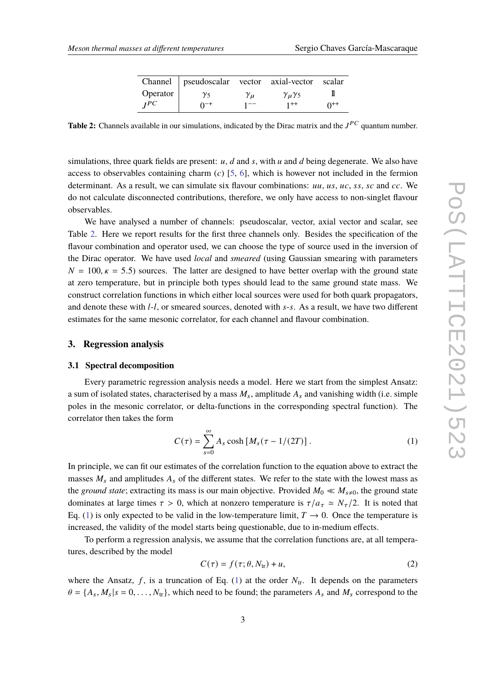|          | Channel   pseudoscalar vector axial-vector scalar |                |                          |          |
|----------|---------------------------------------------------|----------------|--------------------------|----------|
| Operator | $\gamma_5$                                        | $\gamma_{\mu}$ | $\gamma_{\mu}\gamma_{5}$ |          |
| $I^{PC}$ | $0^{-+}$                                          | $1 - -$        | $1++$                    | $0^{++}$ |

<span id="page-2-0"></span>**Table 2:** Channels available in our simulations, indicated by the Dirac matrix and the  $J^{PC}$  quantum number.

simulations, three quark fields are present:  $u$ ,  $d$  and  $s$ , with  $u$  and  $d$  being degenerate. We also have access to observables containing charm  $(c)$  [\[5,](#page-8-5) [6\]](#page-8-6), which is however not included in the fermion determinant. As a result, we can simulate six flavour combinations:  $uu$ ,  $us$ ,  $uc$ ,  $ss$ ,  $sc$  and  $cc$ . We do not calculate disconnected contributions, therefore, we only have access to non-singlet flavour observables.

We have analysed a number of channels: pseudoscalar, vector, axial vector and scalar, see Table [2.](#page-2-0) Here we report results for the first three channels only. Besides the specification of the flavour combination and operator used, we can choose the type of source used in the inversion of the Dirac operator. We have used *local* and *smeared* (using Gaussian smearing with parameters  $N = 100, \kappa = 5.5$ ) sources. The latter are designed to have better overlap with the ground state at zero temperature, but in principle both types should lead to the same ground state mass. We construct correlation functions in which either local sources were used for both quark propagators, and denote these with  $l-l$ , or smeared sources, denoted with  $s-s$ . As a result, we have two different estimates for the same mesonic correlator, for each channel and flavour combination.

# **3. Regression analysis**

#### **3.1 Spectral decomposition**

Every parametric regression analysis needs a model. Here we start from the simplest Ansatz: a sum of isolated states, characterised by a mass  $M_s$ , amplitude  $A_s$  and vanishing width (i.e. simple poles in the mesonic correlator, or delta-functions in the corresponding spectral function). The correlator then takes the form

<span id="page-2-1"></span>
$$
C(\tau) = \sum_{s=0}^{\infty} A_s \cosh \left[ M_s(\tau - 1/(2T)) \right]. \tag{1}
$$

In principle, we can fit our estimates of the correlation function to the equation above to extract the masses  $M_s$  and amplitudes  $A_s$  of the different states. We refer to the state with the lowest mass as the *ground state*; extracting its mass is our main objective. Provided  $M_0 \ll M_{s\neq 0}$ , the ground state dominates at large times  $\tau > 0$ , which at nonzero temperature is  $\tau/a_{\tau} \simeq N_{\tau}/2$ . It is noted that Eq. [\(1\)](#page-2-1) is only expected to be valid in the low-temperature limit,  $T \rightarrow 0$ . Once the temperature is increased, the validity of the model starts being questionable, due to in-medium effects.

To perform a regression analysis, we assume that the correlation functions are, at all temperatures, described by the model

<span id="page-2-2"></span>
$$
C(\tau) = f(\tau; \theta, N_{tr}) + u,
$$
\n(2)

where the Ansatz, f, is a truncation of Eq. [\(1\)](#page-2-1) at the order  $N_{tr}$ . It depends on the parameters  $\theta = \{A_s, M_s | s = 0, \ldots, N_{tr}\}$ , which need to be found; the parameters  $A_s$  and  $M_s$  correspond to the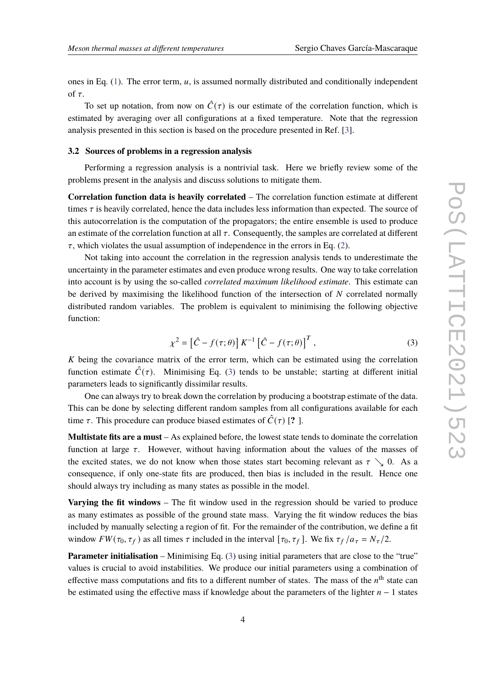ones in Eq.  $(1)$ . The error term,  $u$ , is assumed normally distributed and conditionally independent of  $\tau$ .

To set up notation, from now on  $\hat{C}(\tau)$  is our estimate of the correlation function, which is estimated by averaging over all configurations at a fixed temperature. Note that the regression analysis presented in this section is based on the procedure presented in Ref. [\[3\]](#page-8-2).

## **3.2 Sources of problems in a regression analysis**

Performing a regression analysis is a nontrivial task. Here we briefly review some of the problems present in the analysis and discuss solutions to mitigate them.

**Correlation function data is heavily correlated** – The correlation function estimate at different times  $\tau$  is heavily correlated, hence the data includes less information than expected. The source of this autocorrelation is the computation of the propagators; the entire ensemble is used to produce an estimate of the correlation function at all  $\tau$ . Consequently, the samples are correlated at different  $\tau$ , which violates the usual assumption of independence in the errors in Eq. [\(2\)](#page-2-2).

Not taking into account the correlation in the regression analysis tends to underestimate the uncertainty in the parameter estimates and even produce wrong results. One way to take correlation into account is by using the so-called *correlated maximum likelihood estimate*. This estimate can be derived by maximising the likelihood function of the intersection of  $N$  correlated normally distributed random variables. The problem is equivalent to minimising the following objective function:

<span id="page-3-0"></span>
$$
\chi^2 = \left[\hat{C} - f(\tau;\theta)\right] K^{-1} \left[\hat{C} - f(\tau;\theta)\right]^T,\tag{3}
$$

 $K$  being the covariance matrix of the error term, which can be estimated using the correlation function estimate  $\hat{C}(\tau)$ . Minimising Eq. [\(3\)](#page-3-0) tends to be unstable; starting at different initial parameters leads to significantly dissimilar results.

One can always try to break down the correlation by producing a bootstrap estimate of the data. This can be done by selecting different random samples from all configurations available for each time  $\tau$ . This procedure can produce biased estimates of  $\hat{C}(\tau)$  [? ].

**Multistate fits are a must** – As explained before, the lowest state tends to dominate the correlation function at large  $\tau$ . However, without having information about the values of the masses of the excited states, we do not know when those states start becoming relevant as  $\tau \searrow 0$ . As a consequence, if only one-state fits are produced, then bias is included in the result. Hence one should always try including as many states as possible in the model.

**Varying the fit windows** – The fit window used in the regression should be varied to produce as many estimates as possible of the ground state mass. Varying the fit window reduces the bias included by manually selecting a region of fit. For the remainder of the contribution, we define a fit window  $FW(\tau_0, \tau_f)$  as all times  $\tau$  included in the interval  $[\tau_0, \tau_f]$ . We fix  $\tau_f/a_{\tau} = N_{\tau}/2$ .

**Parameter initialisation** – Minimising Eq. [\(3\)](#page-3-0) using initial parameters that are close to the "true" values is crucial to avoid instabilities. We produce our initial parameters using a combination of effective mass computations and fits to a different number of states. The mass of the  $n<sup>th</sup>$  state can be estimated using the effective mass if knowledge about the parameters of the lighter  $n - 1$  states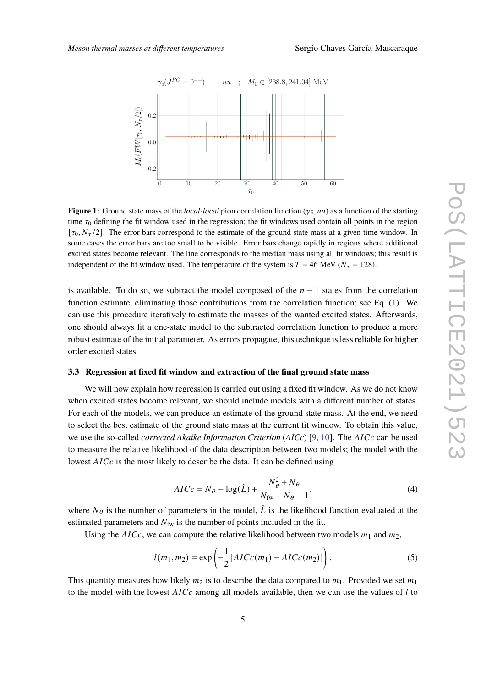

**Figure 1:** Ground state mass of the *local-local* pion correlation function  $(\gamma_5, uu)$  as a function of the starting time  $\tau_0$  defining the fit window used in the regression; the fit windows used contain all points in the region  $[\tau_0, N_\tau/2]$ . The error bars correspond to the estimate of the ground state mass at a given time window. In some cases the error bars are too small to be visible. Error bars change rapidly in regions where additional excited states become relevant. The line corresponds to the median mass using all fit windows; this result is independent of the fit window used. The temperature of the system is  $T = 46$  MeV ( $N<sub>\tau</sub> = 128$ ).

is available. To do so, we subtract the model composed of the  $n-1$  states from the correlation function estimate, eliminating those contributions from the correlation function; see Eq. [\(1\)](#page-2-1). We can use this procedure iteratively to estimate the masses of the wanted excited states. Afterwards, one should always fit a one-state model to the subtracted correlation function to produce a more robust estimate of the initial parameter. As errors propagate, this technique is less reliable for higher order excited states.

#### **3.3 Regression at fixed fit window and extraction of the final ground state mass**

We will now explain how regression is carried out using a fixed fit window. As we do not know when excited states become relevant, we should include models with a different number of states. For each of the models, we can produce an estimate of the ground state mass. At the end, we need to select the best estimate of the ground state mass at the current fit window. To obtain this value, we use the so-called *corrected Akaike Information Criterion* (AICc) [\[9,](#page-8-7) [10\]](#page-8-8). The AICc can be used to measure the relative likelihood of the data description between two models; the model with the lowest  $AICc$  is the most likely to describe the data. It can be defined using

$$
AICc = N_{\theta} - \log(\hat{L}) + \frac{N_{\theta}^2 + N_{\theta}}{N_{\text{fw}} - N_{\theta} - 1},\tag{4}
$$

where  $N_{\theta}$  is the number of parameters in the model,  $\hat{L}$  is the likelihood function evaluated at the estimated parameters and  $N_{\text{fw}}$  is the number of points included in the fit.

Using the  $AICc$ , we can compute the relative likelihood between two models  $m_1$  and  $m_2$ ,

$$
l(m_1, m_2) = \exp\left(-\frac{1}{2}[AICc(m_1) - AICc(m_2)]\right).
$$
 (5)

This quantity measures how likely  $m_2$  is to describe the data compared to  $m_1$ . Provided we set  $m_1$ to the model with the lowest  $AICc$  among all models available, then we can use the values of  $l$  to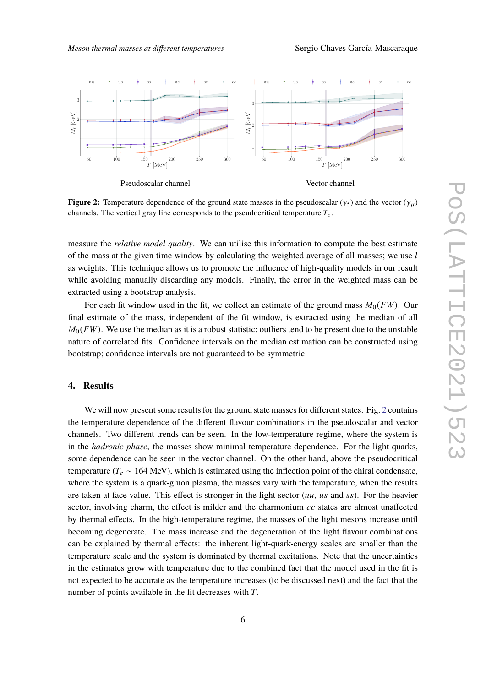<span id="page-5-0"></span>

Pseudoscalar channel

Vector channel

**Figure 2:** Temperature dependence of the ground state masses in the pseudoscalar ( $\gamma_5$ ) and the vector ( $\gamma_u$ ) channels. The vertical gray line corresponds to the pseudocritical temperature  $T_c$ .

measure the *relative model quality*. We can utilise this information to compute the best estimate of the mass at the given time window by calculating the weighted average of all masses; we use  $l$ as weights. This technique allows us to promote the influence of high-quality models in our result while avoiding manually discarding any models. Finally, the error in the weighted mass can be extracted using a bootstrap analysis.

For each fit window used in the fit, we collect an estimate of the ground mass  $M_0(FW)$ . Our final estimate of the mass, independent of the fit window, is extracted using the median of all  $M_0(FW)$ . We use the median as it is a robust statistic; outliers tend to be present due to the unstable nature of correlated fits. Confidence intervals on the median estimation can be constructed using bootstrap; confidence intervals are not guaranteed to be symmetric.

## **4. Results**

We will now present some results for the ground state masses for different states. Fig. [2](#page-5-0) contains the temperature dependence of the different flavour combinations in the pseudoscalar and vector channels. Two different trends can be seen. In the low-temperature regime, where the system is in the *hadronic phase*, the masses show minimal temperature dependence. For the light quarks, some dependence can be seen in the vector channel. On the other hand, above the pseudocritical temperature ( $T_c \sim 164$  MeV), which is estimated using the inflection point of the chiral condensate, where the system is a quark-gluon plasma, the masses vary with the temperature, when the results are taken at face value. This effect is stronger in the light sector  $(uu, us$  and ss). For the heavier sector, involving charm, the effect is milder and the charmonium  $cc$  states are almost unaffected by thermal effects. In the high-temperature regime, the masses of the light mesons increase until becoming degenerate. The mass increase and the degeneration of the light flavour combinations can be explained by thermal effects: the inherent light-quark-energy scales are smaller than the temperature scale and the system is dominated by thermal excitations. Note that the uncertainties in the estimates grow with temperature due to the combined fact that the model used in the fit is not expected to be accurate as the temperature increases (to be discussed next) and the fact that the number of points available in the fit decreases with  $T$ .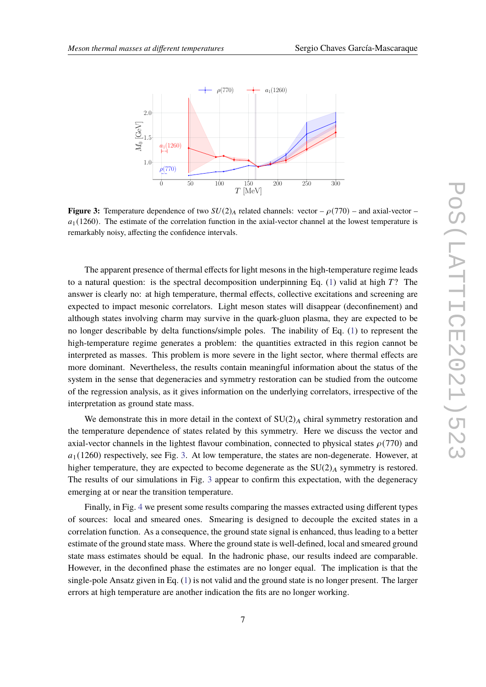<span id="page-6-0"></span>

**Figure 3:** Temperature dependence of two  $SU(2)_A$  related channels: vector –  $\rho(770)$  – and axial-vector –  $a_1$ (1260). The estimate of the correlation function in the axial-vector channel at the lowest temperature is remarkably noisy, affecting the confidence intervals.

The apparent presence of thermal effects for light mesons in the high-temperature regime leads to a natural question: is the spectral decomposition underpinning Eq. [\(1\)](#page-2-1) valid at high  $T$ ? The answer is clearly no: at high temperature, thermal effects, collective excitations and screening are expected to impact mesonic correlators. Light meson states will disappear (deconfinement) and although states involving charm may survive in the quark-gluon plasma, they are expected to be no longer describable by delta functions/simple poles. The inability of Eq. [\(1\)](#page-2-1) to represent the high-temperature regime generates a problem: the quantities extracted in this region cannot be interpreted as masses. This problem is more severe in the light sector, where thermal effects are more dominant. Nevertheless, the results contain meaningful information about the status of the system in the sense that degeneracies and symmetry restoration can be studied from the outcome of the regression analysis, as it gives information on the underlying correlators, irrespective of the interpretation as ground state mass.

We demonstrate this in more detail in the context of  $SU(2)_A$  chiral symmetry restoration and the temperature dependence of states related by this symmetry. Here we discuss the vector and axial-vector channels in the lightest flavour combination, connected to physical states  $\rho(770)$  and  $a_1$ (1260) respectively, see Fig. [3.](#page-6-0) At low temperature, the states are non-degenerate. However, at higher temperature, they are expected to become degenerate as the  $SU(2)_A$  symmetry is restored. The results of our simulations in Fig. [3](#page-6-0) appear to confirm this expectation, with the degeneracy emerging at or near the transition temperature.

Finally, in Fig. [4](#page-7-0) we present some results comparing the masses extracted using different types of sources: local and smeared ones. Smearing is designed to decouple the excited states in a correlation function. As a consequence, the ground state signal is enhanced, thus leading to a better estimate of the ground state mass. Where the ground state is well-defined, local and smeared ground state mass estimates should be equal. In the hadronic phase, our results indeed are comparable. However, in the deconfined phase the estimates are no longer equal. The implication is that the single-pole Ansatz given in Eq. [\(1\)](#page-2-1) is not valid and the ground state is no longer present. The larger errors at high temperature are another indication the fits are no longer working.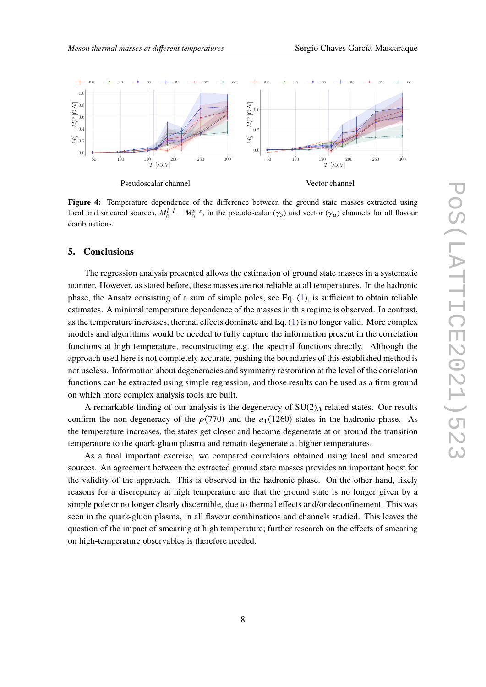<span id="page-7-0"></span>

Pseudoscalar channel

Vector channel

Figure 4: Temperature dependence of the difference between the ground state masses extracted using local and smeared sources,  $M_0^{l-l} - M_0^{s-s}$ , in the pseudoscalar ( $\gamma_5$ ) and vector ( $\gamma_\mu$ ) channels for all flavour combinations.

#### **5. Conclusions**

The regression analysis presented allows the estimation of ground state masses in a systematic manner. However, as stated before, these masses are not reliable at all temperatures. In the hadronic phase, the Ansatz consisting of a sum of simple poles, see Eq. [\(1\)](#page-2-1), is sufficient to obtain reliable estimates. A minimal temperature dependence of the masses in this regime is observed. In contrast, as the temperature increases, thermal effects dominate and Eq. [\(1\)](#page-2-1) is no longer valid. More complex models and algorithms would be needed to fully capture the information present in the correlation functions at high temperature, reconstructing e.g. the spectral functions directly. Although the approach used here is not completely accurate, pushing the boundaries of this established method is not useless. Information about degeneracies and symmetry restoration at the level of the correlation functions can be extracted using simple regression, and those results can be used as a firm ground on which more complex analysis tools are built.

A remarkable finding of our analysis is the degeneracy of  $SU(2)_A$  related states. Our results confirm the non-degeneracy of the  $\rho(770)$  and the  $a_1(1260)$  states in the hadronic phase. As the temperature increases, the states get closer and become degenerate at or around the transition temperature to the quark-gluon plasma and remain degenerate at higher temperatures.

As a final important exercise, we compared correlators obtained using local and smeared sources. An agreement between the extracted ground state masses provides an important boost for the validity of the approach. This is observed in the hadronic phase. On the other hand, likely reasons for a discrepancy at high temperature are that the ground state is no longer given by a simple pole or no longer clearly discernible, due to thermal effects and/or deconfinement. This was seen in the quark-gluon plasma, in all flavour combinations and channels studied. This leaves the question of the impact of smearing at high temperature; further research on the effects of smearing on high-temperature observables is therefore needed.